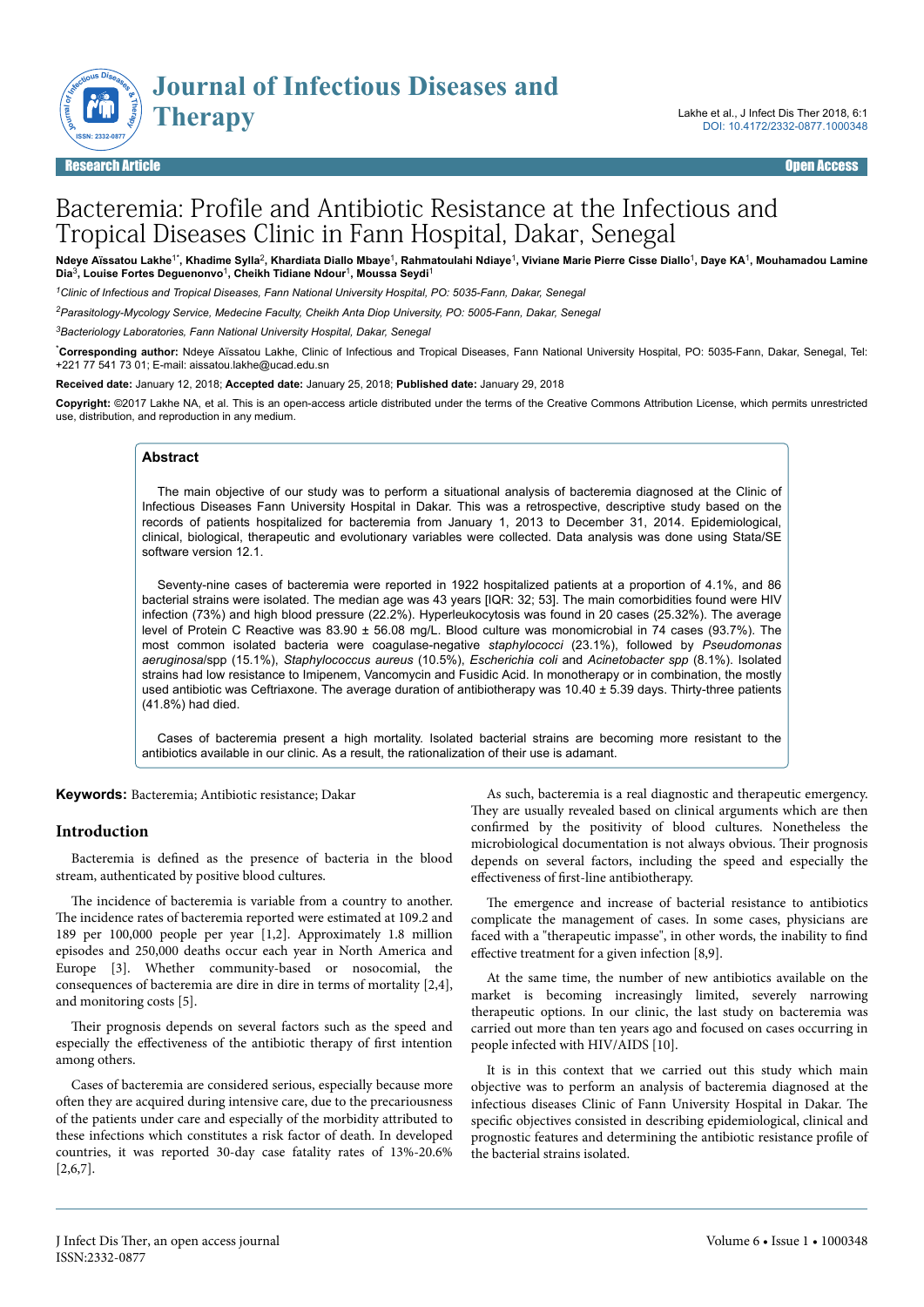

# Bacteremia: Profile and Antibiotic Resistance at the Infectious and Tropical Diseases Clinic in Fann Hospital, Dakar, Senegal

Ndeye Aïssatou Lakhe<sup>1\*</sup>, Khadime Sylla<sup>2</sup>, Khardiata Diallo Mbaye<sup>1</sup>, Rahmatoulahi Ndiaye<sup>1</sup>, Viviane Marie Pierre Cisse Diallo<sup>1</sup>, Daye KA<sup>1</sup>, Mouhamadou Lamine<br>Dia<sup>3</sup>, Louise Fortes Deguenonvo<sup>1</sup>, Cheikh Tidiane Ndour<sup>1</sup>

*<sup>1</sup>Clinic of Infectious and Tropical Diseases, Fann National University Hospital, PO: 5035-Fann, Dakar, Senegal*

*<sup>2</sup>Parasitology-Mycology Service, Medecine Faculty, Cheikh Anta Diop University, PO: 5005-Fann, Dakar, Senegal*

*<sup>3</sup>Bacteriology Laboratories, Fann National University Hospital, Dakar, Senegal*

\***Corresponding author:** Ndeye Aïssatou Lakhe, Clinic of Infectious and Tropical Diseases, Fann National University Hospital, PO: 5035-Fann, Dakar, Senegal, Tel: +221 77 541 73 01; E-mail: aissatou.lakhe@ucad.edu.sn

**Received date:** January 12, 2018; **Accepted date:** January 25, 2018; **Published date:** January 29, 2018

**Copyright:** ©2017 Lakhe NA, et al. This is an open-access article distributed under the terms of the Creative Commons Attribution License, which permits unrestricted use, distribution, and reproduction in any medium.

#### **Abstract**

The main objective of our study was to perform a situational analysis of bacteremia diagnosed at the Clinic of Infectious Diseases Fann University Hospital in Dakar. This was a retrospective, descriptive study based on the records of patients hospitalized for bacteremia from January 1, 2013 to December 31, 2014. Epidemiological, clinical, biological, therapeutic and evolutionary variables were collected. Data analysis was done using Stata/SE software version 12.1.

Seventy-nine cases of bacteremia were reported in 1922 hospitalized patients at a proportion of 4.1%, and 86 bacterial strains were isolated. The median age was 43 years [IQR: 32; 53]. The main comorbidities found were HIV infection (73%) and high blood pressure (22.2%). Hyperleukocytosis was found in 20 cases (25.32%). The average level of Protein C Reactive was 83.90 ± 56.08 mg/L. Blood culture was monomicrobial in 74 cases (93.7%). The most common isolated bacteria were coagulase-negative *staphylococci* (23.1%), followed by *Pseudomonas aeruginosa*/spp (15.1%), *Staphylococcus aureus* (10.5%), *Escherichia coli* and *Acinetobacter spp* (8.1%). Isolated strains had low resistance to Imipenem, Vancomycin and Fusidic Acid. In monotherapy or in combination, the mostly used antibiotic was Ceftriaxone. The average duration of antibiotherapy was 10.40 ± 5.39 days. Thirty-three patients (41.8%) had died.

Cases of bacteremia present a high mortality. Isolated bacterial strains are becoming more resistant to the antibiotics available in our clinic. As a result, the rationalization of their use is adamant.

**Keywords:** Bacteremia; Antibiotic resistance; Dakar

#### **Introduction**

Bacteremia is defined as the presence of bacteria in the blood stream, authenticated by positive blood cultures.

The incidence of bacteremia is variable from a country to another. The incidence rates of bacteremia reported were estimated at 109.2 and 189 per 100,000 people per year [1,2]. Approximately 1.8 million episodes and 250,000 deaths occur each year in North America and Europe [3]. Whether community-based or nosocomial, the consequences of bacteremia are dire in dire in terms of mortality [2,4], and monitoring costs [5].

Their prognosis depends on several factors such as the speed and especially the effectiveness of the antibiotic therapy of first intention among others.

Cases of bacteremia are considered serious, especially because more often they are acquired during intensive care, due to the precariousness of the patients under care and especially of the morbidity attributed to these infections which constitutes a risk factor of death. In developed countries, it was reported 30-day case fatality rates of 13%-20.6% [2,6,7].

As such, bacteremia is a real diagnostic and therapeutic emergency. They are usually revealed based on clinical arguments which are then confirmed by the positivity of blood cultures. Nonetheless the microbiological documentation is not always obvious. Their prognosis depends on several factors, including the speed and especially the effectiveness of first-line antibiotherapy.

The emergence and increase of bacterial resistance to antibiotics complicate the management of cases. In some cases, physicians are faced with a "therapeutic impasse", in other words, the inability to find effective treatment for a given infection  $[8,9]$ .

At the same time, the number of new antibiotics available on the market is becoming increasingly limited, severely narrowing therapeutic options. In our clinic, the last study on bacteremia was carried out more than ten years ago and focused on cases occurring in people infected with HIV/AIDS [10].

It is in this context that we carried out this study which main objective was to perform an analysis of bacteremia diagnosed at the infectious diseases Clinic of Fann University Hospital in Dakar. Нe specific objectives consisted in describing epidemiological, clinical and prognostic features and determining the antibiotic resistance profile of the bacterial strains isolated.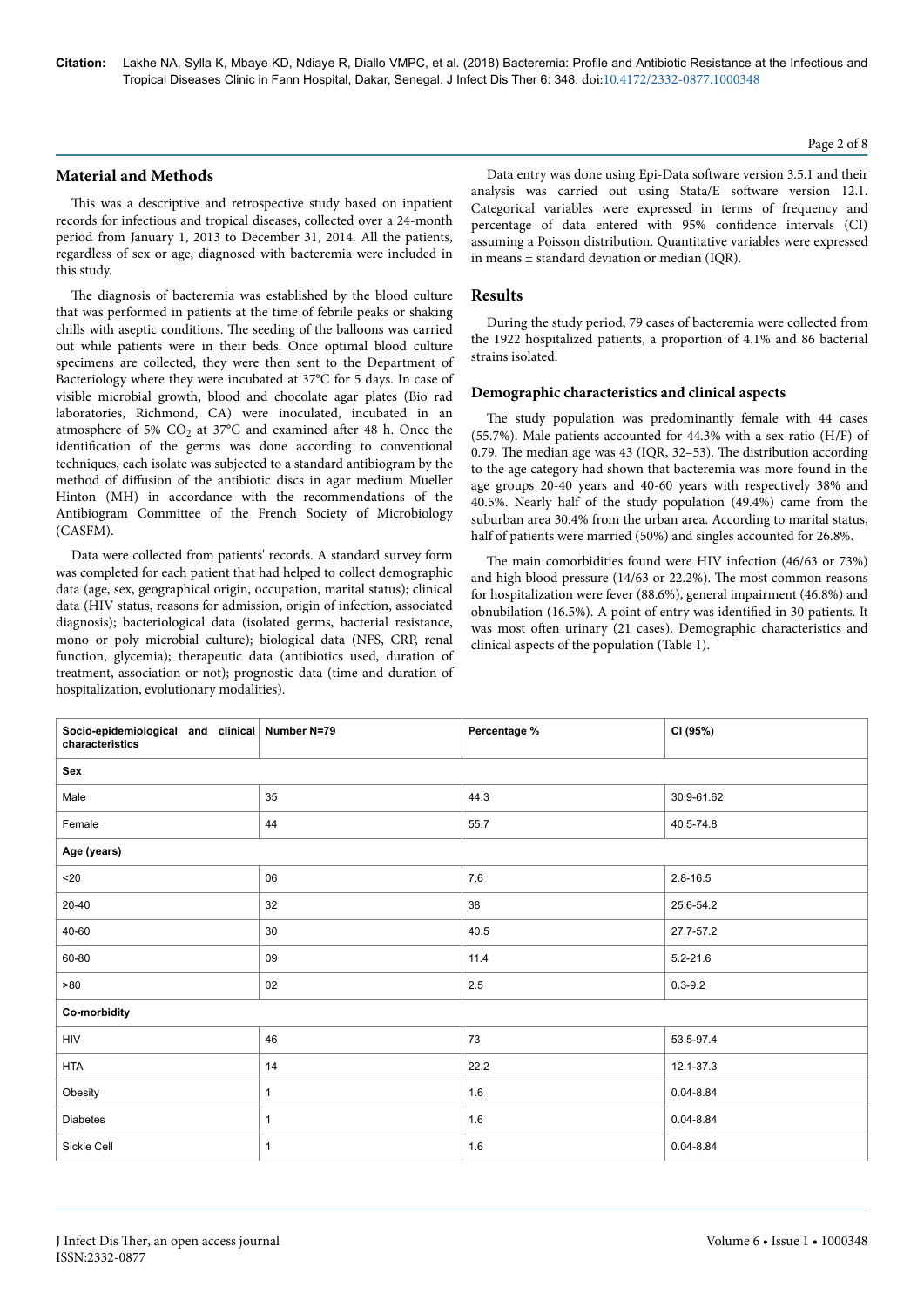# **Material and Methods**

This was a descriptive and retrospective study based on inpatient records for infectious and tropical diseases, collected over a 24-month period from January 1, 2013 to December 31, 2014. All the patients, regardless of sex or age, diagnosed with bacteremia were included in this study.

The diagnosis of bacteremia was established by the blood culture that was performed in patients at the time of febrile peaks or shaking chills with aseptic conditions. Нe seeding of the balloons was carried out while patients were in their beds. Once optimal blood culture specimens are collected, they were then sent to the Department of Bacteriology where they were incubated at 37°C for 5 days. In case of visible microbial growth, blood and chocolate agar plates (Bio rad laboratories, Richmond, CA) were inoculated, incubated in an atmosphere of 5%  $CO<sub>2</sub>$  at 37°C and examined after 48 h. Once the identification of the germs was done according to conventional techniques, each isolate was subjected to a standard antibiogram by the method of diffusion of the antibiotic discs in agar medium Mueller Hinton (MH) in accordance with the recommendations of the Antibiogram Committee of the French Society of Microbiology (CASFM).

Data were collected from patients' records. A standard survey form was completed for each patient that had helped to collect demographic data (age, sex, geographical origin, occupation, marital status); clinical data (HIV status, reasons for admission, origin of infection, associated diagnosis); bacteriological data (isolated germs, bacterial resistance, mono or poly microbial culture); biological data (NFS, CRP, renal function, glycemia); therapeutic data (antibiotics used, duration of treatment, association or not); prognostic data (time and duration of hospitalization, evolutionary modalities).

Data entry was done using Epi-Data software version 3.5.1 and their analysis was carried out using Stata/E software version 12.1. Categorical variables were expressed in terms of frequency and percentage of data entered with 95% confidence intervals (CI) assuming a Poisson distribution. Quantitative variables were expressed in means ± standard deviation or median (IQR).

# **Results**

During the study period, 79 cases of bacteremia were collected from the 1922 hospitalized patients, a proportion of 4.1% and 86 bacterial strains isolated.

#### **Demographic characteristics and clinical aspects**

The study population was predominantly female with 44 cases (55.7%). Male patients accounted for 44.3% with a sex ratio (H/F) of 0.79. Нe median age was 43 (IQR, 32–53). Нe distribution according to the age category had shown that bacteremia was more found in the age groups 20-40 years and 40-60 years with respectively 38% and 40.5%. Nearly half of the study population (49.4%) came from the suburban area 30.4% from the urban area. According to marital status, half of patients were married (50%) and singles accounted for 26.8%.

The main comorbidities found were HIV infection (46/63 or 73%) and high blood pressure (14/63 or 22.2%). Нe most common reasons for hospitalization were fever (88.6%), general impairment (46.8%) and obnubilation (16.5%). A point of entry was identified in 30 patients. It was most often urinary (21 cases). Demographic characteristics and clinical aspects of the population (Table 1).

| Socio-epidemiological and clinical Number N=79<br>characteristics |              | Percentage % | CI (95%)      |
|-------------------------------------------------------------------|--------------|--------------|---------------|
| Sex                                                               |              |              |               |
| Male                                                              | 35           | 44.3         | 30.9-61.62    |
| Female                                                            | 44           | 55.7         | 40.5-74.8     |
| Age (years)                                                       |              |              |               |
| $20$                                                              | 06           | $7.6\,$      | $2.8 - 16.5$  |
| 20-40                                                             | 32           | 38           | 25.6-54.2     |
| 40-60                                                             | 30           | 40.5         | 27.7-57.2     |
| 60-80                                                             | 09           | 11.4         | $5.2 - 21.6$  |
| >80                                                               | 02           | 2.5          | $0.3 - 9.2$   |
| Co-morbidity                                                      |              |              |               |
| <b>HIV</b>                                                        | 46           | 73           | 53.5-97.4     |
| <b>HTA</b>                                                        | 14           | 22.2         | 12.1-37.3     |
| Obesity                                                           | 1            | $1.6\,$      | $0.04 - 8.84$ |
| <b>Diabetes</b>                                                   | $\mathbf{1}$ | $1.6\,$      | $0.04 - 8.84$ |
| Sickle Cell                                                       | $\mathbf{1}$ | 1.6          | $0.04 - 8.84$ |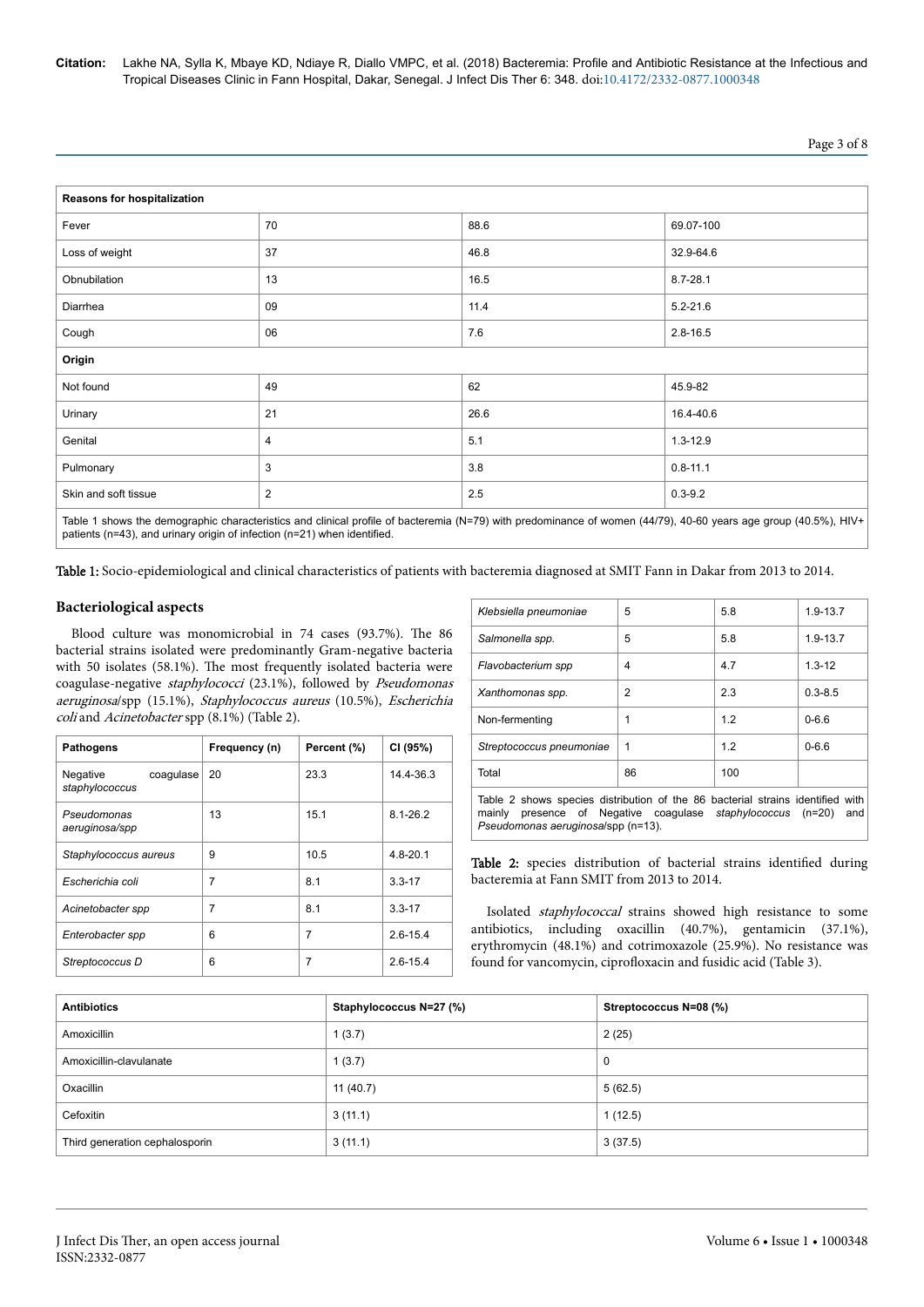| " |
|---|
|---|

| Reasons for hospitalization |                |      |              |
|-----------------------------|----------------|------|--------------|
| Fever                       | 70             | 88.6 | 69.07-100    |
| Loss of weight              | 37             | 46.8 | 32.9-64.6    |
| Obnubilation                | 13             | 16.5 | $8.7 - 28.1$ |
| Diarrhea                    | 09             | 11.4 | $5.2 - 21.6$ |
| Cough                       | 06             | 7.6  | $2.8 - 16.5$ |
| Origin                      |                |      |              |
| Not found                   | 49             | 62   | 45.9-82      |
| Urinary                     | 21             | 26.6 | 16.4-40.6    |
| Genital                     | 4              | 5.1  | $1.3 - 12.9$ |
| Pulmonary                   | 3              | 3.8  | $0.8 - 11.1$ |
| Skin and soft tissue        | $\overline{2}$ | 2.5  | $0.3 - 9.2$  |

Table 1 shows the demographic characteristics and clinical profile of bacteremia (N=79) with predominance of women (44/79), 40-60 years age group (40.5%), HIV+ patients (n=43), and urinary origin of infection (n=21) when identified.

Table 1: Socio-epidemiological and clinical characteristics of patients with bacteremia diagnosed at SMIT Fann in Dakar from 2013 to 2014.

# **Bacteriological aspects**

Blood culture was monomicrobial in 74 cases (93.7%). Нe 86 bacterial strains isolated were predominantly Gram-negative bacteria with 50 isolates (58.1%). Нe most frequently isolated bacteria were coagulase-negative staphylococci (23.1%), followed by Pseudomonas aeruginosa/spp (15.1%), Staphylococcus aureus (10.5%), Escherichia coli and Acinetobacter spp (8.1%) (Table 2).

| <b>Pathogens</b>                        | Frequency (n) | Percent (%)    | CI (95%)     |
|-----------------------------------------|---------------|----------------|--------------|
| Negative<br>coaqulase<br>staphylococcus | 20            | 23.3           | 14.4-36.3    |
| Pseudomonas<br>aeruginosa/spp           | 13            | 15.1           | $8.1 - 26.2$ |
| Staphylococcus aureus                   | 9             | 10.5           | $4.8 - 20.1$ |
| Escherichia coli                        | 7             | 8.1            | $3.3 - 17$   |
| Acinetobacter spp                       | 7             | 8.1            | $3.3 - 17$   |
| Enterobacter spp                        | 6             | $\overline{7}$ | $2.6 - 15.4$ |
| Streptococcus D                         | 6             | 7              | $2.6 - 15.4$ |

| Klebsiella pneumoniae                                                                                                                                                                             | 5  | 5.8 | $1.9 - 13.7$ |
|---------------------------------------------------------------------------------------------------------------------------------------------------------------------------------------------------|----|-----|--------------|
| Salmonella spp.                                                                                                                                                                                   | 5  | 5.8 | $1.9 - 13.7$ |
| Flavobacterium spp                                                                                                                                                                                | 4  | 4.7 | $1.3 - 12$   |
| Xanthomonas spp.                                                                                                                                                                                  | 2  | 2.3 | $0.3 - 8.5$  |
| Non-fermenting                                                                                                                                                                                    | 1  | 12  | $0 - 66$     |
| Streptococcus pneumoniae                                                                                                                                                                          | 1  | 12  | $0 - 6.6$    |
| Total                                                                                                                                                                                             | 86 | 100 |              |
| Table 2 shows species distribution of the 86 bacterial strains identified with<br>mainly presence of Negative coagulase <i>staphylococcus</i> (n=20)<br>and<br>Pseudomonas aeruginosa/spp (n=13). |    |     |              |

Table 2: species distribution of bacterial strains identified during bacteremia at Fann SMIT from 2013 to 2014.

Isolated staphylococcal strains showed high resistance to some antibiotics, including oxacillin (40.7%), gentamicin (37.1%), erythromycin (48.1%) and cotrimoxazole (25.9%). No resistance was found for vancomycin, ciprofloxacin and fusidic acid (Table 3).

| <b>Antibiotics</b>             | Staphylococcus N=27 (%) | Streptococcus N=08 (%) |
|--------------------------------|-------------------------|------------------------|
| Amoxicillin                    | 1(3.7)                  | 2(25)                  |
| Amoxicillin-clavulanate        | 1(3.7)                  | 0                      |
| Oxacillin                      | 11 $(40.7)$             | 5(62.5)                |
| Cefoxitin                      | 3(11.1)                 | 1(12.5)                |
| Third generation cephalosporin | 3(11.1)                 | 3(37.5)                |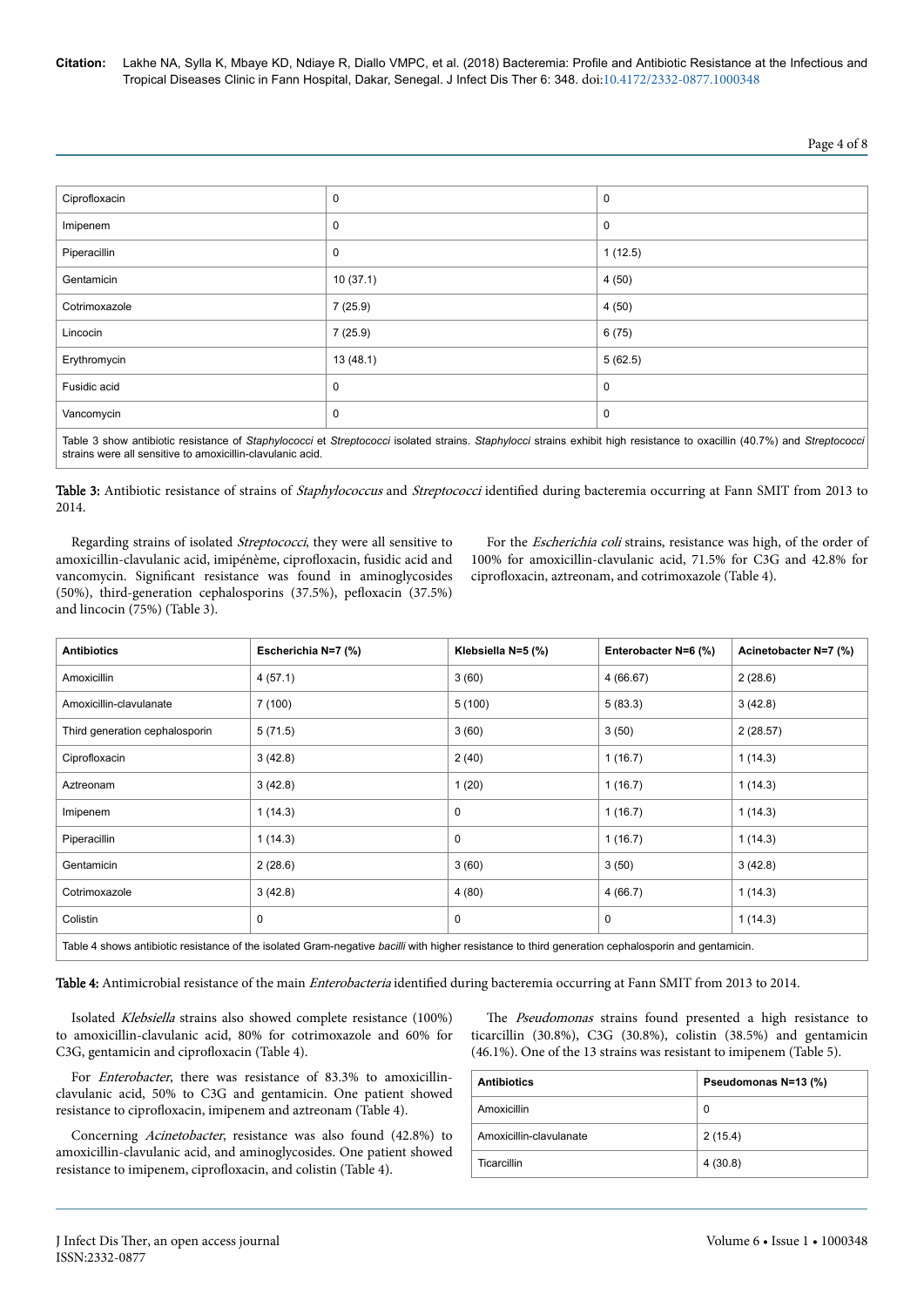# Page 4 of 8

| Ciprofloxacin | $\mathbf 0$ | $\mathbf 0$ |
|---------------|-------------|-------------|
| Imipenem      | $\mathbf 0$ | 0           |
| Piperacillin  | $\mathbf 0$ | 1(12.5)     |
| Gentamicin    | 10(37.1)    | 4(50)       |
| Cotrimoxazole | 7 (25.9)    | 4(50)       |
| Lincocin      | 7(25.9)     | 6(75)       |
| Erythromycin  | 13(48.1)    | 5(62.5)     |
| Fusidic acid  | $\mathbf 0$ | 0           |
| Vancomycin    | $\mathbf 0$ | $\mathbf 0$ |
| .<br>.        |             |             |

Table 3 show antibiotic resistance of *Staphylococci* et *Streptococci* isolated strains. *Staphylocci* strains exhibit high resistance to oxacillin (40.7%) and *Streptococci* strains were all sensitive to amoxicillin-clavulanic acid.

Table 3: Antibiotic resistance of strains of *Staphylococcus* and *Streptococci* identified during bacteremia occurring at Fann SMIT from 2013 to 2014.

Regarding strains of isolated *Streptococci*, they were all sensitive to amoxicillin-clavulanic acid, imipénème, ciprofloxacin, fusidic acid and vancomycin. Significant resistance was found in aminoglycosides (50%), third-generation cephalosporins (37.5%), pefloxacin (37.5%) and lincocin (75%) (Table 3).

For the Escherichia coli strains, resistance was high, of the order of 100% for amoxicillin-clavulanic acid, 71.5% for C3G and 42.8% for ciprofloxacin, aztreonam, and cotrimoxazole (Table 4).

| <b>Antibiotics</b>                                                                                                                                 | Escherichia N=7 (%) | Klebsiella N=5 (%) | Enterobacter N=6 (%) | Acinetobacter N=7 (%) |
|----------------------------------------------------------------------------------------------------------------------------------------------------|---------------------|--------------------|----------------------|-----------------------|
| Amoxicillin                                                                                                                                        | 4(57.1)             | 3(60)              | 4(66.67)             | 2(28.6)               |
| Amoxicillin-clavulanate                                                                                                                            | 7(100)              | 5(100)             | 5(83.3)              | 3(42.8)               |
| Third generation cephalosporin                                                                                                                     | 5(71.5)             | 3(60)              | 3(50)                | 2(28.57)              |
| Ciprofloxacin                                                                                                                                      | 3(42.8)             | 2(40)              | 1(16.7)              | 1(14.3)               |
| Aztreonam                                                                                                                                          | 3(42.8)             | 1(20)              | 1(16.7)              | 1(14.3)               |
| Imipenem                                                                                                                                           | 1(14.3)             | 0                  | 1(16.7)              | 1(14.3)               |
| Piperacillin                                                                                                                                       | 1(14.3)             | 0                  | 1(16.7)              | 1(14.3)               |
| Gentamicin                                                                                                                                         | 2(28.6)             | 3(60)              | 3(50)                | 3(42.8)               |
| Cotrimoxazole                                                                                                                                      | 3(42.8)             | 4(80)              | 4(66.7)              | 1(14.3)               |
| Colistin                                                                                                                                           | 0                   | 0                  | 0                    | 1(14.3)               |
| Table 4 shows antibiotic resistance of the isolated Gram-negative bacilli with higher resistance to third generation cephalosporin and gentamicin. |                     |                    |                      |                       |

Table 4: Antimicrobial resistance of the main *Enterobacteria* identified during bacteremia occurring at Fann SMIT from 2013 to 2014.

Isolated Klebsiella strains also showed complete resistance (100%) to amoxicillin-clavulanic acid, 80% for cotrimoxazole and 60% for C3G, gentamicin and ciprofloxacin (Table 4).

For *Enterobacter*, there was resistance of 83.3% to amoxicillinclavulanic acid, 50% to C3G and gentamicin. One patient showed resistance to ciprofloxacin, imipenem and aztreonam (Table 4).

Concerning Acinetobacter, resistance was also found (42.8%) to amoxicillin-clavulanic acid, and aminoglycosides. One patient showed resistance to imipenem, ciprofloxacin, and colistin (Table 4).

The Pseudomonas strains found presented a high resistance to ticarcillin (30.8%), C3G (30.8%), colistin (38.5%) and gentamicin (46.1%). One of the 13 strains was resistant to imipenem (Table 5).

| <b>Antibiotics</b>      | Pseudomonas N=13 (%) |  |
|-------------------------|----------------------|--|
| Amoxicillin             | 0                    |  |
| Amoxicillin-clavulanate | 2(15.4)              |  |
| Ticarcillin             | 4(30.8)              |  |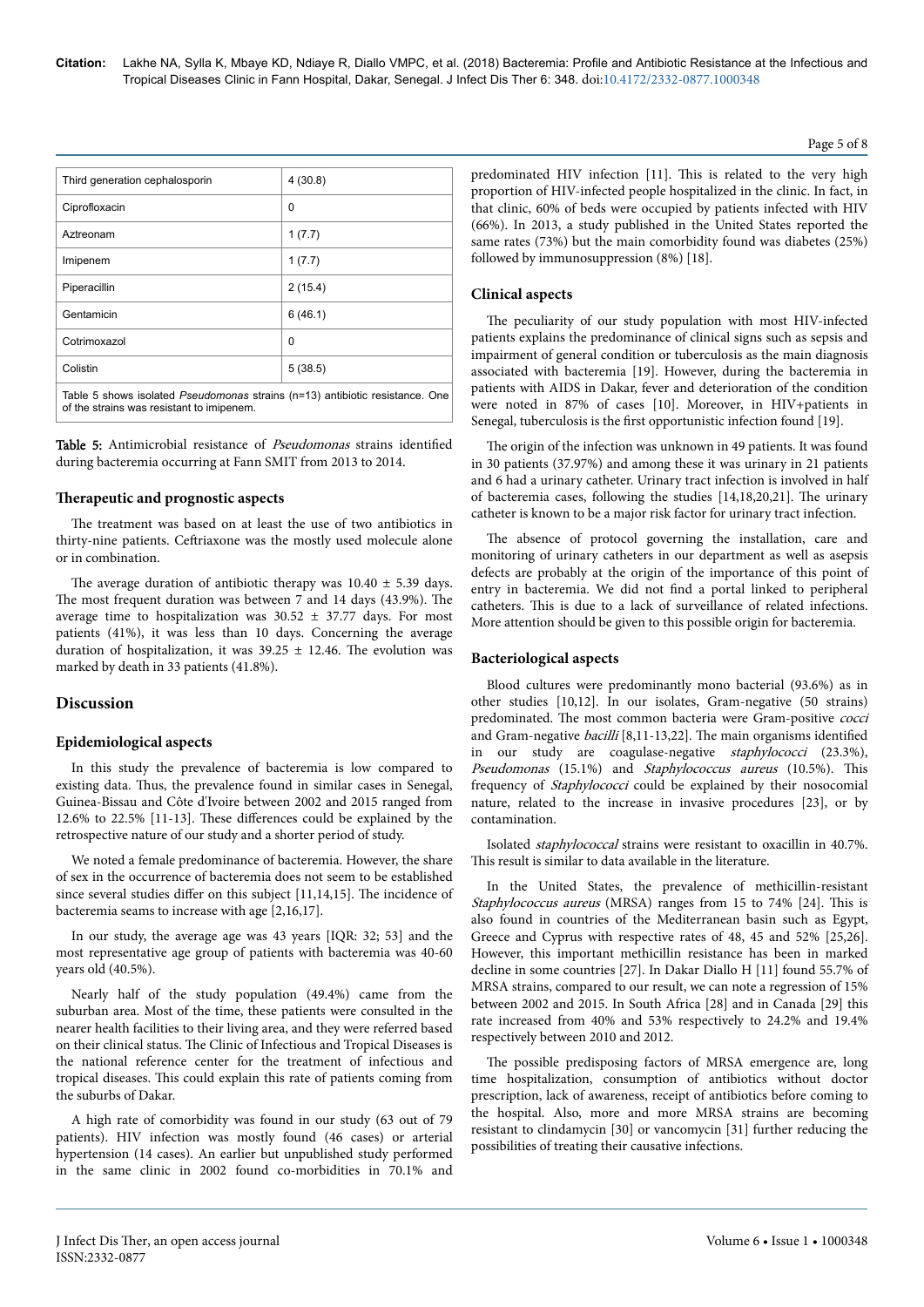| Third generation cephalosporin                                                                                                   | 4(30.8) |  |
|----------------------------------------------------------------------------------------------------------------------------------|---------|--|
| Ciprofloxacin                                                                                                                    | 0       |  |
| Aztreonam                                                                                                                        | 1(7.7)  |  |
| Imipenem                                                                                                                         | 1(7.7)  |  |
| Piperacillin                                                                                                                     | 2(15.4) |  |
| Gentamicin                                                                                                                       | 6(46.1) |  |
| Cotrimoxazol                                                                                                                     | 0       |  |
| Colistin                                                                                                                         | 5(38.5) |  |
| Table 5 shows isolated <i>Pseudomonas</i> strains (n=13) antibiotic resistance. One<br>of the strains was resistant to imipenem. |         |  |

Table 5: Antimicrobial resistance of *Pseudomonas* strains identified during bacteremia occurring at Fann SMIT from 2013 to 2014.

# **Therapeutic and prognostic aspects**

The treatment was based on at least the use of two antibiotics in thirty-nine patients. Ceftriaxone was the mostly used molecule alone or in combination.

The average duration of antibiotic therapy was  $10.40 \pm 5.39$  days. The most frequent duration was between 7 and 14 days (43.9%). The average time to hospitalization was  $30.52 \pm 37.77$  days. For most patients (41%), it was less than 10 days. Concerning the average duration of hospitalization, it was  $39.25 \pm 12.46$ . The evolution was marked by death in 33 patients (41.8%).

#### **Discussion**

#### **Epidemiological aspects**

In this study the prevalence of bacteremia is low compared to existing data. Нus, the prevalence found in similar cases in Senegal, Guinea-Bissau and Côte d'Ivoire between 2002 and 2015 ranged from 12.6% to 22.5% [11-13]. These differences could be explained by the retrospective nature of our study and a shorter period of study.

We noted a female predominance of bacteremia. However, the share of sex in the occurrence of bacteremia does not seem to be established since several studies differ on this subject  $[11,14,15]$ . The incidence of bacteremia seams to increase with age [2,16,17].

In our study, the average age was 43 years [IQR: 32; 53] and the most representative age group of patients with bacteremia was 40-60 years old (40.5%).

Nearly half of the study population (49.4%) came from the suburban area. Most of the time, these patients were consulted in the nearer health facilities to their living area, and they were referred based on their clinical status. Нe Clinic of Infectious and Tropical Diseases is the national reference center for the treatment of infectious and tropical diseases. This could explain this rate of patients coming from the suburbs of Dakar.

A high rate of comorbidity was found in our study (63 out of 79 patients). HIV infection was mostly found (46 cases) or arterial hypertension (14 cases). An earlier but unpublished study performed in the same clinic in 2002 found co-morbidities in 70.1% and

predominated HIV infection [11]. This is related to the very high proportion of HIV-infected people hospitalized in the clinic. In fact, in that clinic, 60% of beds were occupied by patients infected with HIV (66%). In 2013, a study published in the United States reported the same rates (73%) but the main comorbidity found was diabetes (25%) followed by immunosuppression (8%) [18].

# **Clinical aspects**

The peculiarity of our study population with most HIV-infected patients explains the predominance of clinical signs such as sepsis and impairment of general condition or tuberculosis as the main diagnosis associated with bacteremia [19]. However, during the bacteremia in patients with AIDS in Dakar, fever and deterioration of the condition were noted in 87% of cases [10]. Moreover, in HIV+patients in Senegal, tuberculosis is the first opportunistic infection found [19].

The origin of the infection was unknown in 49 patients. It was found in 30 patients (37.97%) and among these it was urinary in 21 patients and 6 had a urinary catheter. Urinary tract infection is involved in half of bacteremia cases, following the studies [14,18,20,21]. Нe urinary catheter is known to be a major risk factor for urinary tract infection.

The absence of protocol governing the installation, care and monitoring of urinary catheters in our department as well as asepsis defects are probably at the origin of the importance of this point of entry in bacteremia. We did not find a portal linked to peripheral catheters. This is due to a lack of surveillance of related infections. More attention should be given to this possible origin for bacteremia.

## **Bacteriological aspects**

Blood cultures were predominantly mono bacterial (93.6%) as in other studies [10,12]. In our isolates, Gram-negative (50 strains) predominated. The most common bacteria were Gram-positive cocci and Gram-negative  $bacilli$  [8,11-13,22]. The main organisms identified in our study are coagulase-negative staphylococci (23.3%), Pseudomonas (15.1%) and Staphylococcus aureus (10.5%). This frequency of Staphylococci could be explained by their nosocomial nature, related to the increase in invasive procedures [23], or by contamination.

Isolated staphylococcal strains were resistant to oxacillin in 40.7%. This result is similar to data available in the literature.

In the United States, the prevalence of methicillin-resistant Staphylococcus aureus (MRSA) ranges from 15 to 74% [24]. This is also found in countries of the Mediterranean basin such as Egypt, Greece and Cyprus with respective rates of 48, 45 and 52% [25,26]. However, this important methicillin resistance has been in marked decline in some countries [27]. In Dakar Diallo H [11] found 55.7% of MRSA strains, compared to our result, we can note a regression of 15% between 2002 and 2015. In South Africa [28] and in Canada [29] this rate increased from 40% and 53% respectively to 24.2% and 19.4% respectively between 2010 and 2012.

The possible predisposing factors of MRSA emergence are, long time hospitalization, consumption of antibiotics without doctor prescription, lack of awareness, receipt of antibiotics before coming to the hospital. Also, more and more MRSA strains are becoming resistant to clindamycin [30] or vancomycin [31] further reducing the possibilities of treating their causative infections.

Page 5 of 8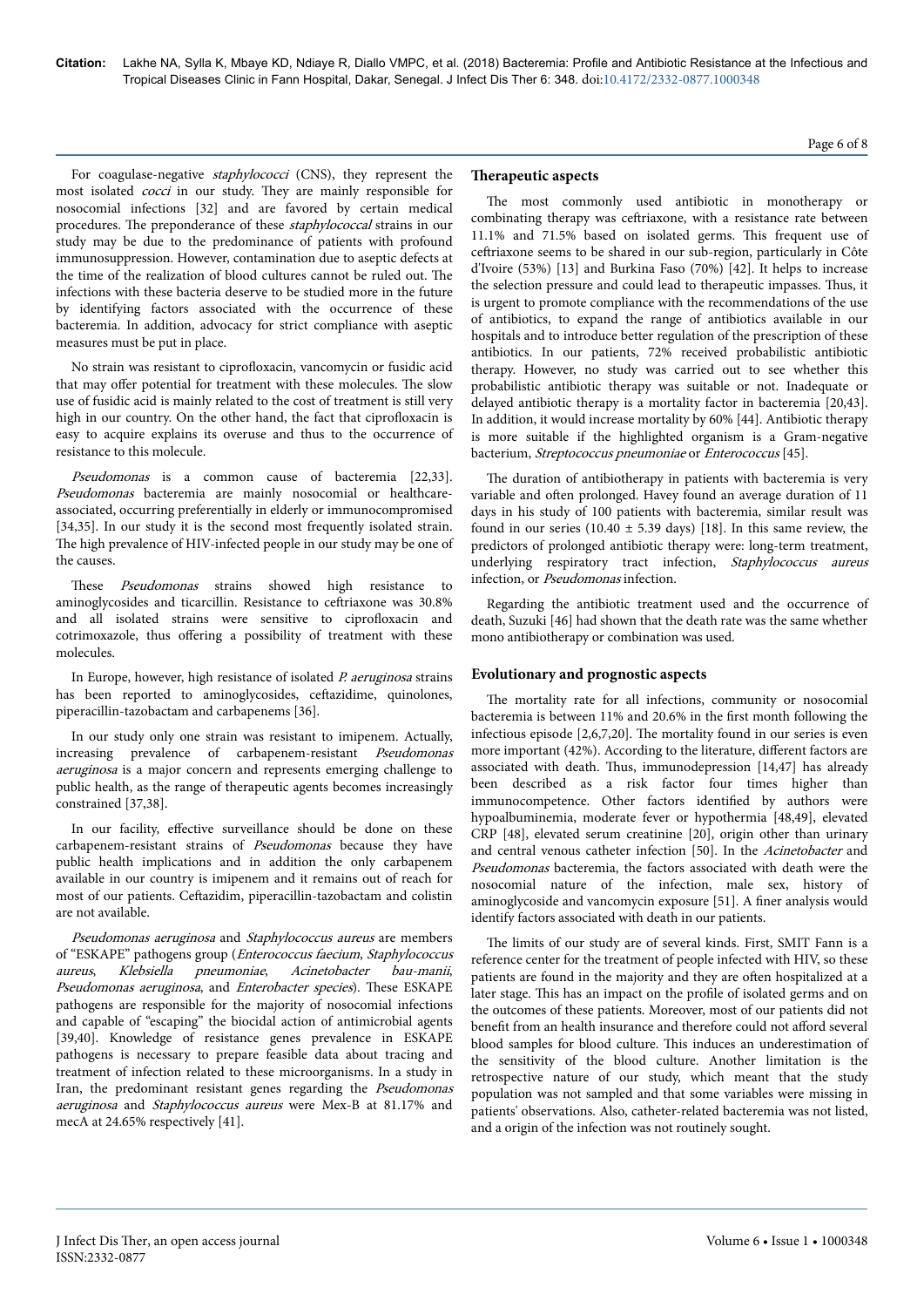For coagulase-negative *staphylococci* (CNS), they represent the most isolated cocci in our study. Нey are mainly responsible for nosocomial infections [32] and are favored by certain medical procedures. The preponderance of these *staphylococcal* strains in our study may be due to the predominance of patients with profound immunosuppression. However, contamination due to aseptic defects at the time of the realization of blood cultures cannot be ruled out. Нe infections with these bacteria deserve to be studied more in the future by identifying factors associated with the occurrence of these bacteremia. In addition, advocacy for strict compliance with aseptic measures must be put in place.

No strain was resistant to ciprofloxacin, vancomycin or fusidic acid that may offer potential for treatment with these molecules. The slow use of fusidic acid is mainly related to the cost of treatment is still very high in our country. On the other hand, the fact that ciprofloxacin is easy to acquire explains its overuse and thus to the occurrence of resistance to this molecule.

Pseudomonas is a common cause of bacteremia [22,33]. Pseudomonas bacteremia are mainly nosocomial or healthcareassociated, occurring preferentially in elderly or immunocompromised [34,35]. In our study it is the second most frequently isolated strain. The high prevalence of HIV-infected people in our study may be one of the causes.

These Pseudomonas strains showed high resistance to aminoglycosides and ticarcillin. Resistance to ceftriaxone was 30.8% and all isolated strains were sensitive to ciprofloxacin and cotrimoxazole, thus offering a possibility of treatment with these molecules.

In Europe, however, high resistance of isolated *P. aeruginosa* strains has been reported to aminoglycosides, ceftazidime, quinolones, piperacillin-tazobactam and carbapenems [36].

In our study only one strain was resistant to imipenem. Actually, increasing prevalence of carbapenem-resistant Pseudomonas aeruginosa is a major concern and represents emerging challenge to public health, as the range of therapeutic agents becomes increasingly constrained [37,38].

In our facility, effective surveillance should be done on these carbapenem-resistant strains of Pseudomonas because they have public health implications and in addition the only carbapenem available in our country is imipenem and it remains out of reach for most of our patients. Ceftazidim, piperacillin-tazobactam and colistin are not available.

Pseudomonas aeruginosa and Staphylococcus aureus are members of "ESKAPE" pathogens group (Enterococcus faecium, Staphylococcus aureus, Klebsiella pneumoniae, Acinetobacter bau-manii, Pseudomonas aeruginosa, and Enterobacter species). These ESKAPE pathogens are responsible for the majority of nosocomial infections and capable of "escaping" the biocidal action of antimicrobial agents [39,40]. Knowledge of resistance genes prevalence in ESKAPE pathogens is necessary to prepare feasible data about tracing and treatment of infection related to these microorganisms. In a study in Iran, the predominant resistant genes regarding the *Pseudomonas* aeruginosa and Staphylococcus aureus were Mex-B at 81.17% and mecA at 24.65% respectively [41].

# **Therapeutic aspects**

The most commonly used antibiotic in monotherapy or combinating therapy was ceftriaxone, with a resistance rate between 11.1% and 71.5% based on isolated germs. This frequent use of ceftriaxone seems to be shared in our sub-region, particularly in Côte d'Ivoire (53%) [13] and Burkina Faso (70%) [42]. It helps to increase the selection pressure and could lead to therapeutic impasses. Нus, it is urgent to promote compliance with the recommendations of the use of antibiotics, to expand the range of antibiotics available in our hospitals and to introduce better regulation of the prescription of these antibiotics. In our patients, 72% received probabilistic antibiotic therapy. However, no study was carried out to see whether this probabilistic antibiotic therapy was suitable or not. Inadequate or delayed antibiotic therapy is a mortality factor in bacteremia [20,43]. In addition, it would increase mortality by 60% [44]. Antibiotic therapy is more suitable if the highlighted organism is a Gram-negative bacterium, Streptococcus pneumoniae or Enterococcus [45].

The duration of antibiotherapy in patients with bacteremia is very variable and often prolonged. Havey found an average duration of 11 days in his study of 100 patients with bacteremia, similar result was found in our series (10.40  $\pm$  5.39 days) [18]. In this same review, the predictors of prolonged antibiotic therapy were: long-term treatment, underlying respiratory tract infection, Staphylococcus aureus infection, or Pseudomonas infection.

Regarding the antibiotic treatment used and the occurrence of death, Suzuki [46] had shown that the death rate was the same whether mono antibiotherapy or combination was used.

#### **Evolutionary and prognostic aspects**

The mortality rate for all infections, community or nosocomial bacteremia is between 11% and 20.6% in the first month following the infectious episode [2,6,7,20]. Нe mortality found in our series is even more important (42%). According to the literature, different factors are associated with death. Нus, immunodepression [14,47] has already been described as a risk factor four times higher than immunocompetence. Other factors identified by authors were hypoalbuminemia, moderate fever or hypothermia [48,49], elevated CRP [48], elevated serum creatinine [20], origin other than urinary and central venous catheter infection [50]. In the Acinetobacter and Pseudomonas bacteremia, the factors associated with death were the nosocomial nature of the infection, male sex, history of aminoglycoside and vancomycin exposure [51]. A finer analysis would identify factors associated with death in our patients.

The limits of our study are of several kinds. First, SMIT Fann is a reference center for the treatment of people infected with HIV, so these patients are found in the majority and they are often hospitalized at a later stage. This has an impact on the profile of isolated germs and on the outcomes of these patients. Moreover, most of our patients did not benefit from an health insurance and therefore could not afford several blood samples for blood culture. This induces an underestimation of the sensitivity of the blood culture. Another limitation is the retrospective nature of our study, which meant that the study population was not sampled and that some variables were missing in patients' observations. Also, catheter-related bacteremia was not listed, and a origin of the infection was not routinely sought.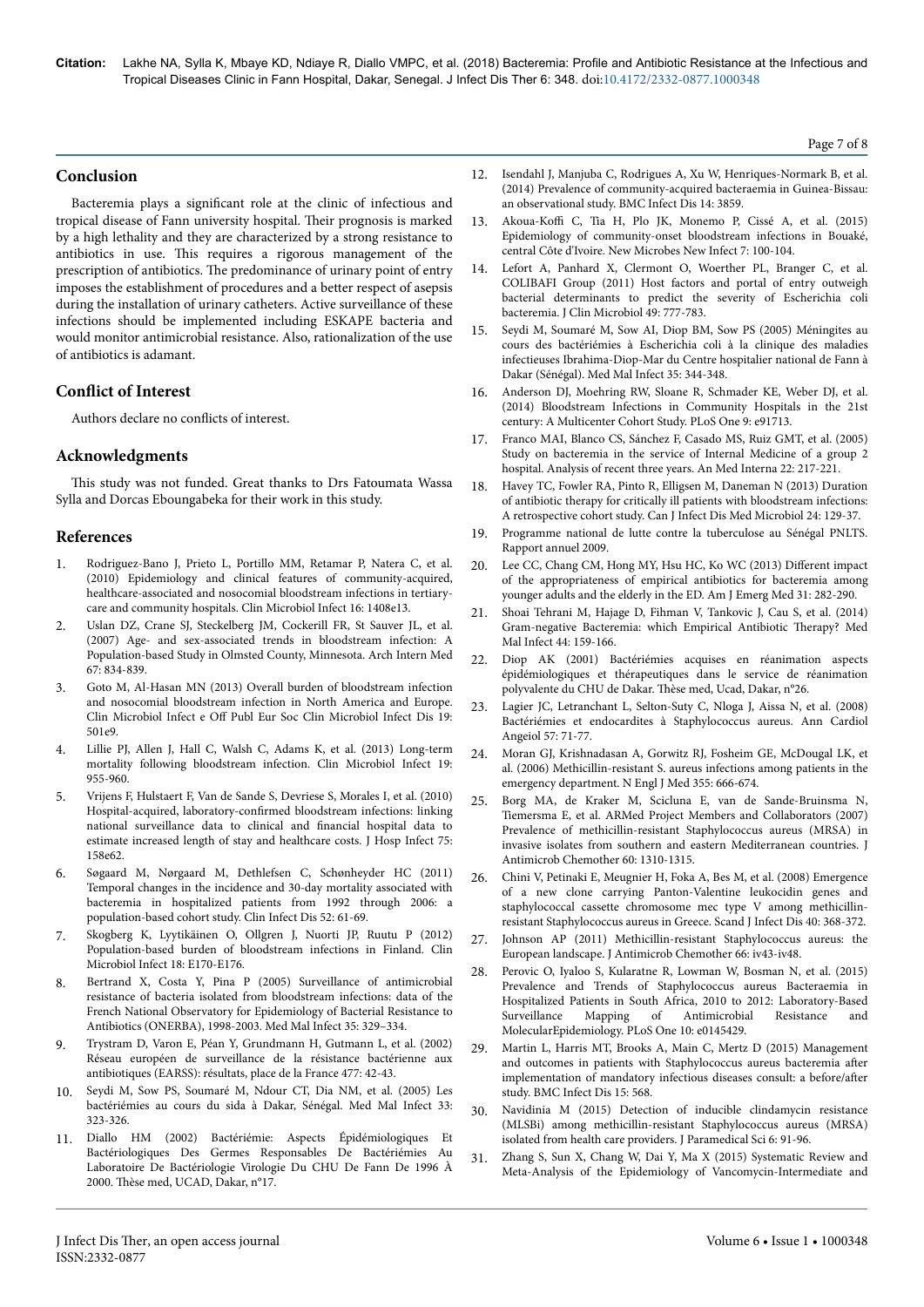# **Conclusion**

Bacteremia plays a significant role at the clinic of infectious and tropical disease of Fann university hospital. Their prognosis is marked by a high lethality and they are characterized by a strong resistance to antibiotics in use. This requires a rigorous management of the prescription of antibiotics. Нe predominance of urinary point of entry imposes the establishment of procedures and a better respect of asepsis during the installation of urinary catheters. Active surveillance of these infections should be implemented including ESKAPE bacteria and would monitor antimicrobial resistance. Also, rationalization of the use of antibiotics is adamant.

# **Conflict of Interest**

Authors declare no conflicts of interest.

# **Acknowledgments**

This study was not funded. Great thanks to Drs Fatoumata Wassa Sylla and Dorcas Eboungabeka for their work in this study.

## **References**

- 1. [Rodriguez-Bano J, Prieto L, Portillo MM, Retamar P, Natera C, et al.](https://doi.org/10.1111/j.1469-0691.2009.03089.x) [\(2010\) Epidemiology and clinical features of community-acquired,](https://doi.org/10.1111/j.1469-0691.2009.03089.x) [healthcare-associated and nosocomial bloodstream infections in tertiary](https://doi.org/10.1111/j.1469-0691.2009.03089.x)[care and community hospitals. Clin Microbiol Infect 16: 1408e13.](https://doi.org/10.1111/j.1469-0691.2009.03089.x)
- 2. [Uslan DZ, Crane SJ, Steckelberg JM, Cockerill FR, St Sauver JL, et al.](https://doi.org/10.1001/archinte.167.8.834) [\(2007\) Age- and sex-associated trends in bloodstream infection: A](https://doi.org/10.1001/archinte.167.8.834) [Population-based Study in Olmsted County, Minnesota. Arch Intern Med](https://doi.org/10.1001/archinte.167.8.834) [67: 834-839.](https://doi.org/10.1001/archinte.167.8.834)
- 3. [Goto M, Al-Hasan MN \(2013\) Overall burden of bloodstream infection](https://doi.org/10.1111/1469-0691.12195) [and nosocomial bloodstream infection in North America and Europe.](https://doi.org/10.1111/1469-0691.12195) Clin Microbiol Infect e Off [Publ Eur Soc Clin Microbiol Infect Dis 19:](https://doi.org/10.1111/1469-0691.12195) [501e9.](https://doi.org/10.1111/1469-0691.12195)
- 4. [Lillie PJ, Allen J, Hall C, Walsh C, Adams K, et al. \(2013\) Long-term](https://doi.org/10.1111/1469-0691.12101) [mortality following bloodstream infection. Clin Microbiol Infect 19:](https://doi.org/10.1111/1469-0691.12101) [955-960.](https://doi.org/10.1111/1469-0691.12101)
- 5. [Vrijens F, Hulstaert F, Van de Sande S, Devriese S, Morales I, et al. \(2010\)](https://doi.org/10.1016/j.jhin.2009.12.006) Hospital-acquired, laboratory-confirmed [bloodstream infections: linking](https://doi.org/10.1016/j.jhin.2009.12.006) [national surveillance data to clinical and](https://doi.org/10.1016/j.jhin.2009.12.006) financial hospital data to [estimate increased length of stay and healthcare costs. J Hosp Infect 75:](https://doi.org/10.1016/j.jhin.2009.12.006) [158e62](https://doi.org/10.1016/j.jhin.2009.12.006).
- 6. [Søgaard M, Nørgaard M, Dethlefsen C, Schønheyder HC \(2011\)](https://doi.org/10.1093/cid/ciq069) [Temporal changes in the incidence and 30-day mortality associated with](https://doi.org/10.1093/cid/ciq069) [bacteremia in hospitalized patients from 1992 through 2006: a](https://doi.org/10.1093/cid/ciq069) [population-based cohort study. Clin Infect Dis 52: 61-69.](https://doi.org/10.1093/cid/ciq069)
- 7. [Skogberg K, Lyytikäinen O, Ollgren J, Nuorti JP, Ruutu P \(2012\)](https://doi.org/10.1111/j.1469-0691.2012.03845.x) [Population-based burden of bloodstream infections in Finland. Clin](https://doi.org/10.1111/j.1469-0691.2012.03845.x) Microbiol Infect 18: E170-E176
- 8. [Bertrand X, Costa Y, Pina P \(2005\) Surveillance of antimicrobial](https://doi.org/10.1016/j.medmal.2005.05.002) [resistance of bacteria isolated from bloodstream infections: data of the](https://doi.org/10.1016/j.medmal.2005.05.002) [French National Observatory for Epidemiology of Bacterial Resistance to](https://doi.org/10.1016/j.medmal.2005.05.002) [Antibiotics \(ONERBA\), 1998-2003. Med Mal Infect 35: 329–334.](https://doi.org/10.1016/j.medmal.2005.05.002)
- 9. Trystram D, Varon E, Péan Y, Grundmann H, Gutmann L, et al. (2002) Réseau européen de surveillance de la résistance bactérienne aux antibiotiques (EARSS): résultats, place de la France 477: 42-43.
- 10. [Seydi M, Sow PS, Soumaré M, Ndour CT, Dia NM, et al. \(2005\) Les](https://doi.org/10.1016/S0399-077X(03)00121-5) [bactériémies au cours du sida à Dakar, Sénégal. Med Mal Infect 33:](https://doi.org/10.1016/S0399-077X(03)00121-5) [323-326.](https://doi.org/10.1016/S0399-077X(03)00121-5)
- 11. Diallo HM (2002) Bactériémie: Aspects Épidémiologiques Et Bactériologiques Des Germes Responsables De Bactériémies Au Laboratoire De Bactériologie Virologie Du CHU De Fann De 1996 À 2000. Thèse med, UCAD, Dakar, n°17.
- 12. [Isendahl J, Manjuba C, Rodrigues A, Xu W, Henriques-Normark B, et al.](https://doi.org/10.1186/s12879-014-0715-9) [\(2014\) Prevalence of community-acquired bacteraemia in Guinea-Bissau:](https://doi.org/10.1186/s12879-014-0715-9) [an observational study. BMC Infect Dis 14: 3859.](https://doi.org/10.1186/s12879-014-0715-9)
- 13. Akoua-Koffi [C, Tia H, Plo JK, Monemo P, Cissé A, et al. \(2015\)](https://doi.org/10.1016/j.nmni.2015.06.009) [Epidemiology of community-onset bloodstream infections in Bouaké,](https://doi.org/10.1016/j.nmni.2015.06.009) [central Côte d'Ivoire. New Microbes New Infect 7: 100-104.](https://doi.org/10.1016/j.nmni.2015.06.009)
- [Lefort A, Panhard X, Clermont O, Woerther PL, Branger C, et al.](https://doi.org/10.1128/JCM.01902-10) [COLIBAFI Group \(2011\) Host factors and portal of entry outweigh](https://doi.org/10.1128/JCM.01902-10) [bacterial determinants to predict the severity of Escherichia coli](https://doi.org/10.1128/JCM.01902-10) [bacteremia. J Clin Microbiol 49: 777-783.](https://doi.org/10.1128/JCM.01902-10)
- 15. [Seydi M, Soumaré M, Sow AI, Diop BM, Sow PS \(2005\) Méningites au](https://doi.org/10.1016/j.medmal.2005.05.001) [cours des bactériémies à Escherichia coli à la clinique des maladies](https://doi.org/10.1016/j.medmal.2005.05.001) [infectieuses Ibrahima-Diop-Mar du Centre hospitalier national de Fann à](https://doi.org/10.1016/j.medmal.2005.05.001) [Dakar \(Sénégal\). Med Mal Infect 35: 344-348.](https://doi.org/10.1016/j.medmal.2005.05.001)
- 16. [Anderson DJ, Moehring RW, Sloane R, Schmader KE, Weber DJ, et al.](https://doi.org/10.1371/journal.pone.0091713) [\(2014\) Bloodstream Infections in Community Hospitals in the 21st](https://doi.org/10.1371/journal.pone.0091713) [century: A Multicenter Cohort Study. PLoS One 9: e91713.](https://doi.org/10.1371/journal.pone.0091713)
- 17. [Franco MAI, Blanco CS, Sánchez F, Casado MS, Ruiz GMT, et al. \(2005\)](https://doi.org/10.4321/S0212-71992005000500004) [Study on bacteremia in the service of Internal Medicine of a group 2](https://doi.org/10.4321/S0212-71992005000500004) [hospital. Analysis of recent three years. An Med Interna 22: 217-221.](https://doi.org/10.4321/S0212-71992005000500004)
- 18. Havey TC, Fowler RA, Pinto R, Elligsen M, Daneman N (2013) Duration of antibiotic therapy for critically ill patients with bloodstream infections: A retrospective cohort study. Can J Infect Dis Med Microbiol 24: 129-37.
- 19. Programme national de lutte contre la tuberculose au Sénégal PNLTS. Rapport annuel 2009.
- 20. [Lee CC, Chang CM, Hong MY, Hsu HC, Ko WC \(2013\)](https://doi.org/10.1016/j.ajem.2012.07.024) Different impact [of the appropriateness of empirical antibiotics for bacteremia among](https://doi.org/10.1016/j.ajem.2012.07.024) [younger adults and the elderly in the ED. Am J Emerg Med 31: 282-290.](https://doi.org/10.1016/j.ajem.2012.07.024)
- 21. [Shoai Tehrani M, Hajage D, Fihman V, Tankovic J, Cau S, et al. \(2014\)](https://doi.org/10.1016/j.medmal.2014.01.013) [Gram-negative Bacteremia: which Empirical Antibiotic](https://doi.org/10.1016/j.medmal.2014.01.013) Therapy? Med [Mal Infect 44: 159-166.](https://doi.org/10.1016/j.medmal.2014.01.013)
- 22. Diop AK (2001) Bactériémies acquises en réanimation aspects épidémiologiques et thérapeutiques dans le service de réanimation polyvalente du CHU de Dakar. Thèse med, Ucad, Dakar, n°26.
- 23. [Lagier JC, Letranchant L, Selton-Suty C, Nloga J, Aissa N, et al. \(2008\)](https://doi.org/10.1016/j.ancard.2008.02.011) [Bactériémies et endocardites à Staphylococcus aureus. Ann Cardiol](https://doi.org/10.1016/j.ancard.2008.02.011) [Angeiol 57: 71-77.](https://doi.org/10.1016/j.ancard.2008.02.011)
- 24. [Moran GJ, Krishnadasan A, Gorwitz RJ, Fosheim GE, McDougal LK, et](https://doi.org/10.1056/NEJMoa055356) [al. \(2006\) Methicillin-resistant S. aureus infections among patients in the](https://doi.org/10.1056/NEJMoa055356) [emergency department. N Engl J Med 355: 666-674.](https://doi.org/10.1056/NEJMoa055356)
- 25. [Borg MA, de Kraker M, Scicluna E, van de Sande-Bruinsma N,](https://doi.org/10.1093/jac/dkm365) [Tiemersma E, et al. ARMed Project Members and Collaborators \(2007\)](https://doi.org/10.1093/jac/dkm365) [Prevalence of methicillin-resistant Staphylococcus aureus \(MRSA\) in](https://doi.org/10.1093/jac/dkm365) [invasive isolates from southern and eastern Mediterranean countries. J](https://doi.org/10.1093/jac/dkm365) [Antimicrob Chemother 60: 1310-1315.](https://doi.org/10.1093/jac/dkm365)
- 26. [Chini V, Petinaki E, Meugnier H, Foka A, Bes M, et al. \(2008\) Emergence](https://doi.org/10.1080/00365540701749230) [of a new clone carrying Panton-Valentine leukocidin genes and](https://doi.org/10.1080/00365540701749230) [staphylococcal cassette chromosome mec type V among methicillin](https://doi.org/10.1080/00365540701749230)[resistant Staphylococcus aureus in Greece. Scand J Infect Dis 40: 368-372.](https://doi.org/10.1080/00365540701749230)
- 27. [Johnson AP \(2011\) Methicillin-resistant Staphylococcus aureus: the](https://doi.org/10.1093/jac/dkr076) [European landscape. J Antimicrob Chemother 66: iv43-iv48.](https://doi.org/10.1093/jac/dkr076)
- 28. [Perovic O, Iyaloo S, Kularatne R, Lowman W, Bosman N, et al. \(2015\)](https://doi.org/10.1371/journal.pone.0145429) [Prevalence and Trends of Staphylococcus aureus Bacteraemia in](https://doi.org/10.1371/journal.pone.0145429) [Hospitalized Patients in South Africa, 2010 to 2012: Laboratory-Based](https://doi.org/10.1371/journal.pone.0145429) [Surveillance Mapping of Antimicrobial Resistance and](https://doi.org/10.1371/journal.pone.0145429) [MolecularEpidemiology. PLoS One 10: e0145429](https://doi.org/10.1371/journal.pone.0145429).
- 29. [Martin L, Harris MT, Brooks A, Main C, Mertz D \(2015\) Management](https://doi.org/10.1186/s12879-015-1296-y) [and outcomes in patients with Staphylococcus aureus bacteremia](https://doi.org/10.1186/s12879-015-1296-y) after [implementation of mandatory infectious diseases consult: a](https://doi.org/10.1186/s12879-015-1296-y) before/after [study. BMC Infect Dis 15: 568.](https://doi.org/10.1186/s12879-015-1296-y)
- 30. [Navidinia M \(2015\) Detection of inducible clindamycin resistance](https://doi.org/10.22037/jps.v6i1.8380) [\(MLSBi\) among methicillin-resistant Staphylococcus aureus \(MRSA\)](https://doi.org/10.22037/jps.v6i1.8380) [isolated from health care providers. J Paramedical Sci 6: 91-96.](https://doi.org/10.22037/jps.v6i1.8380)
- 31. [Zhang S, Sun X, Chang W, Dai Y, Ma X \(2015\) Systematic Review and](https://doi.org/10.1371/journal.pone.0136082) [Meta-Analysis of the Epidemiology of Vancomycin-Intermediate and](https://doi.org/10.1371/journal.pone.0136082)

Page 7 of 8